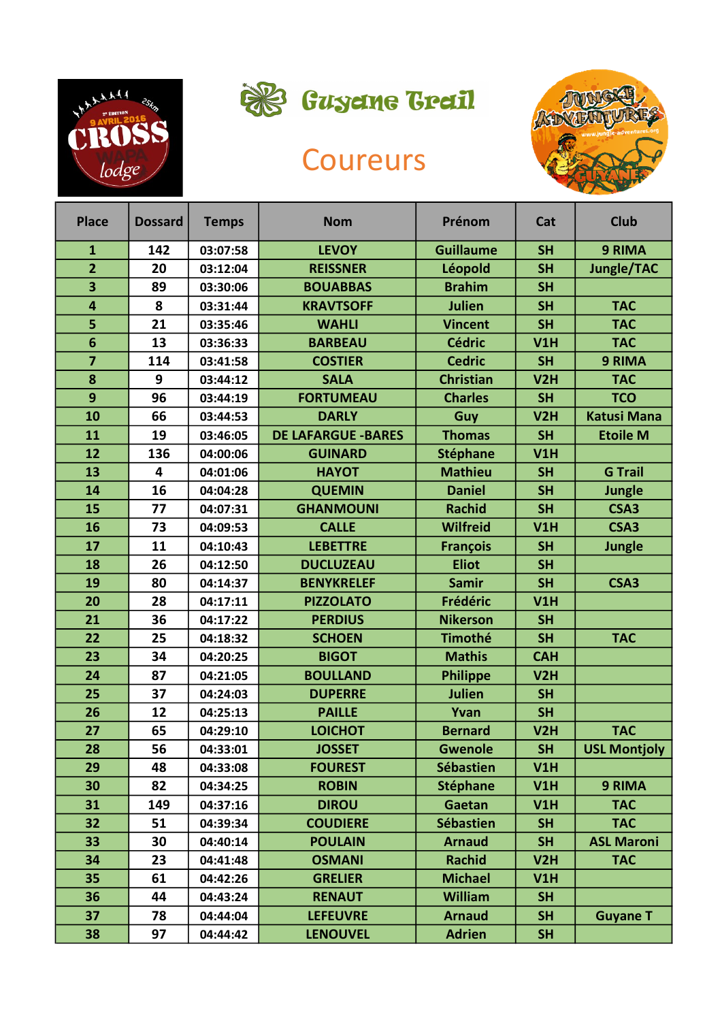



Guyane Grail

## **Coureurs**



| <b>Place</b>            | <b>Dossard</b> | <b>Temps</b> | <b>Nom</b>                | Prénom           | Cat        | <b>Club</b>         |
|-------------------------|----------------|--------------|---------------------------|------------------|------------|---------------------|
| $\mathbf{1}$            | 142            | 03:07:58     | <b>LEVOY</b>              | <b>Guillaume</b> | <b>SH</b>  | 9 RIMA              |
| $\overline{2}$          | 20             | 03:12:04     | <b>REISSNER</b>           | Léopold          | <b>SH</b>  | Jungle/TAC          |
| $\overline{\mathbf{3}}$ | 89             | 03:30:06     | <b>BOUABBAS</b>           | <b>Brahim</b>    | <b>SH</b>  |                     |
| $\overline{\mathbf{4}}$ | 8              | 03:31:44     | <b>KRAVTSOFF</b>          | <b>Julien</b>    | <b>SH</b>  | <b>TAC</b>          |
| 5                       | 21             | 03:35:46     | <b>WAHLI</b>              | <b>Vincent</b>   | <b>SH</b>  | <b>TAC</b>          |
| $6\phantom{1}$          | 13             | 03:36:33     | <b>BARBEAU</b>            | <b>Cédric</b>    | V1H        | <b>TAC</b>          |
| $\overline{7}$          | 114            | 03:41:58     | <b>COSTIER</b>            | <b>Cedric</b>    | <b>SH</b>  | 9 RIMA              |
| 8                       | 9              | 03:44:12     | <b>SALA</b>               | <b>Christian</b> | V2H        | <b>TAC</b>          |
| 9                       | 96             | 03:44:19     | <b>FORTUMEAU</b>          | <b>Charles</b>   | <b>SH</b>  | <b>TCO</b>          |
| 10                      | 66             | 03:44:53     | <b>DARLY</b>              | Guy              | V2H        | <b>Katusi Mana</b>  |
| 11                      | 19             | 03:46:05     | <b>DE LAFARGUE -BARES</b> | <b>Thomas</b>    | <b>SH</b>  | <b>Etoile M</b>     |
| 12                      | 136            | 04:00:06     | <b>GUINARD</b>            | <b>Stéphane</b>  | V1H        |                     |
| 13                      | 4              | 04:01:06     | <b>HAYOT</b>              | <b>Mathieu</b>   | <b>SH</b>  | <b>G</b> Trail      |
| 14                      | 16             | 04:04:28     | <b>QUEMIN</b>             | <b>Daniel</b>    | <b>SH</b>  | <b>Jungle</b>       |
| 15                      | 77             | 04:07:31     | <b>GHANMOUNI</b>          | <b>Rachid</b>    | <b>SH</b>  | CSA3                |
| 16                      | 73             | 04:09:53     | <b>CALLE</b>              | Wilfreid         | V1H        | CSA3                |
| 17                      | 11             | 04:10:43     | <b>LEBETTRE</b>           | <b>François</b>  | <b>SH</b>  | <b>Jungle</b>       |
| 18                      | 26             | 04:12:50     | <b>DUCLUZEAU</b>          | <b>Eliot</b>     | <b>SH</b>  |                     |
| 19                      | 80             | 04:14:37     | <b>BENYKRELEF</b>         | <b>Samir</b>     | <b>SH</b>  | CSA3                |
| 20                      | 28             | 04:17:11     | <b>PIZZOLATO</b>          | <b>Frédéric</b>  | V1H        |                     |
| 21                      | 36             | 04:17:22     | <b>PERDIUS</b>            | <b>Nikerson</b>  | <b>SH</b>  |                     |
| 22                      | 25             | 04:18:32     | <b>SCHOEN</b>             | <b>Timothé</b>   | <b>SH</b>  | <b>TAC</b>          |
| 23                      | 34             | 04:20:25     | <b>BIGOT</b>              | <b>Mathis</b>    | <b>CAH</b> |                     |
| 24                      | 87             | 04:21:05     | <b>BOULLAND</b>           | <b>Philippe</b>  | V2H        |                     |
| 25                      | 37             | 04:24:03     | <b>DUPERRE</b>            | <b>Julien</b>    | <b>SH</b>  |                     |
| 26                      | 12             | 04:25:13     | <b>PAILLE</b>             | Yvan             | <b>SH</b>  |                     |
| 27                      | 65             | 04:29:10     | <b>LOICHOT</b>            | <b>Bernard</b>   | V2H        | <b>TAC</b>          |
| 28                      | 56             | 04:33:01     | <b>JOSSET</b>             | <b>Gwenole</b>   | <b>SH</b>  | <b>USL Montjoly</b> |
| 29                      | 48             | 04:33:08     | <b>FOUREST</b>            | <b>Sébastien</b> | V1H        |                     |
| 30                      | 82             | 04:34:25     | <b>ROBIN</b>              | <b>Stéphane</b>  | V1H        | 9 RIMA              |
| 31                      | 149            | 04:37:16     | <b>DIROU</b>              | <b>Gaetan</b>    | V1H        | <b>TAC</b>          |
| 32                      | 51             | 04:39:34     | <b>COUDIERE</b>           | <b>Sébastien</b> | <b>SH</b>  | <b>TAC</b>          |
| 33                      | 30             | 04:40:14     | <b>POULAIN</b>            | <b>Arnaud</b>    | <b>SH</b>  | <b>ASL Maroni</b>   |
| 34                      | 23             | 04:41:48     | <b>OSMANI</b>             | <b>Rachid</b>    | V2H        | <b>TAC</b>          |
| 35                      | 61             | 04:42:26     | <b>GRELIER</b>            | <b>Michael</b>   | V1H        |                     |
| 36                      | 44             | 04:43:24     | <b>RENAUT</b>             | <b>William</b>   | <b>SH</b>  |                     |
| 37                      | 78             | 04:44:04     | <b>LEFEUVRE</b>           | <b>Arnaud</b>    | <b>SH</b>  | <b>Guyane T</b>     |
| 38                      | 97             | 04:44:42     | <b>LENOUVEL</b>           | <b>Adrien</b>    | <b>SH</b>  |                     |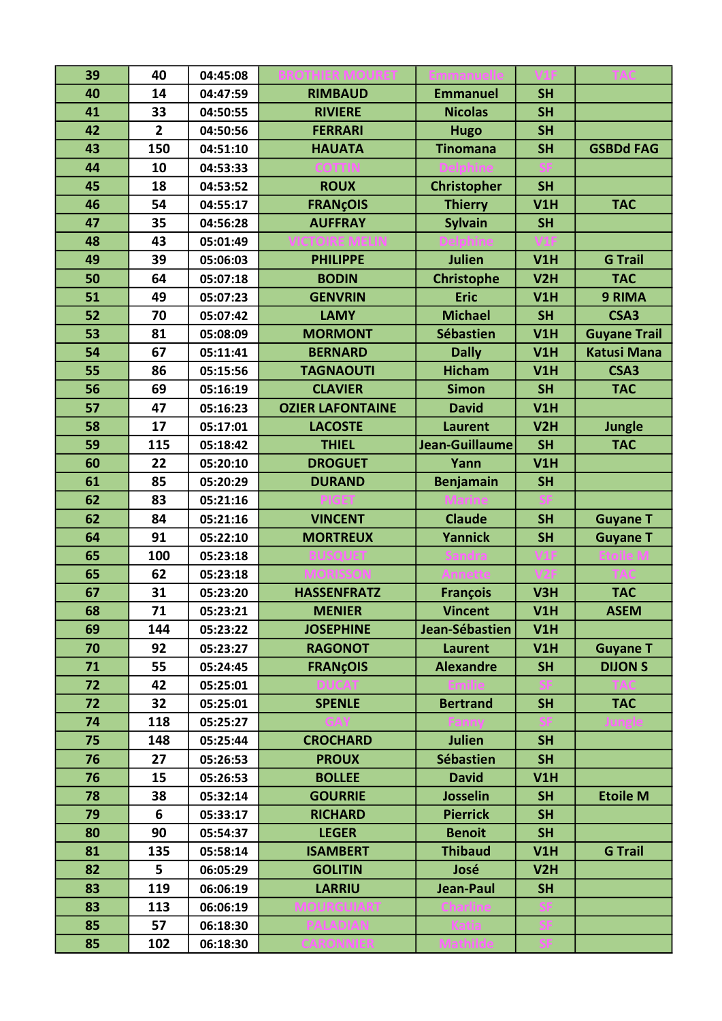| 39 | 40             | 04:45:08 |                         |                    |           |                     |
|----|----------------|----------|-------------------------|--------------------|-----------|---------------------|
| 40 | 14             | 04:47:59 | <b>RIMBAUD</b>          | <b>Emmanuel</b>    | <b>SH</b> |                     |
| 41 | 33             | 04:50:55 | <b>RIVIERE</b>          | <b>Nicolas</b>     | <b>SH</b> |                     |
| 42 | $\overline{2}$ | 04:50:56 | <b>FERRARI</b>          | <b>Hugo</b>        | <b>SH</b> |                     |
| 43 | 150            | 04:51:10 | <b>HAUATA</b>           | <b>Tinomana</b>    | <b>SH</b> | <b>GSBDd FAG</b>    |
| 44 | 10             | 04:53:33 |                         |                    |           |                     |
| 45 | 18             | 04:53:52 | <b>ROUX</b>             | <b>Christopher</b> | <b>SH</b> |                     |
| 46 | 54             | 04:55:17 | <b>FRANÇOIS</b>         | <b>Thierry</b>     | V1H       | <b>TAC</b>          |
| 47 | 35             | 04:56:28 | <b>AUFFRAY</b>          | <b>Sylvain</b>     | <b>SH</b> |                     |
| 48 | 43             | 05:01:49 |                         |                    |           |                     |
| 49 | 39             | 05:06:03 | <b>PHILIPPE</b>         | <b>Julien</b>      | V1H       | <b>G Trail</b>      |
| 50 | 64             | 05:07:18 | <b>BODIN</b>            | <b>Christophe</b>  | V2H       | <b>TAC</b>          |
| 51 | 49             | 05:07:23 | <b>GENVRIN</b>          | <b>Eric</b>        | V1H       | 9 RIMA              |
| 52 | 70             | 05:07:42 | <b>LAMY</b>             | <b>Michael</b>     | <b>SH</b> | CSA3                |
| 53 | 81             | 05:08:09 | <b>MORMONT</b>          | <b>Sébastien</b>   | V1H       | <b>Guyane Trail</b> |
| 54 | 67             | 05:11:41 | <b>BERNARD</b>          | <b>Dally</b>       | V1H       | <b>Katusi Mana</b>  |
| 55 | 86             | 05:15:56 | <b>TAGNAOUTI</b>        | <b>Hicham</b>      | V1H       | CSA3                |
| 56 | 69             | 05:16:19 | <b>CLAVIER</b>          | <b>Simon</b>       | <b>SH</b> | <b>TAC</b>          |
| 57 | 47             | 05:16:23 | <b>OZIER LAFONTAINE</b> | <b>David</b>       | V1H       |                     |
| 58 | 17             | 05:17:01 | <b>LACOSTE</b>          | <b>Laurent</b>     | V2H       | <b>Jungle</b>       |
| 59 | 115            | 05:18:42 | <b>THIEL</b>            | Jean-Guillaume     | <b>SH</b> | <b>TAC</b>          |
| 60 | 22             | 05:20:10 | <b>DROGUET</b>          | Yann               | V1H       |                     |
| 61 | 85             | 05:20:29 | <b>DURAND</b>           | <b>Benjamain</b>   | <b>SH</b> |                     |
| 62 | 83             | 05:21:16 |                         |                    |           |                     |
| 62 | 84             | 05:21:16 | <b>VINCENT</b>          | <b>Claude</b>      | <b>SH</b> | <b>Guyane T</b>     |
| 64 | 91             | 05:22:10 | <b>MORTREUX</b>         | <b>Yannick</b>     | <b>SH</b> | <b>Guyane T</b>     |
| 65 | 100            | 05:23:18 |                         |                    |           |                     |
| 65 | 62             | 05:23:18 |                         |                    |           |                     |
| 67 | 31             | 05:23:20 | <b>HASSENFRATZ</b>      | <b>François</b>    | V3H       | <b>TAC</b>          |
| 68 | 71             | 05:23:21 | <b>MENIER</b>           | <b>Vincent</b>     | V1H       | <b>ASEM</b>         |
| 69 | 144            | 05:23:22 | <b>JOSEPHINE</b>        | Jean-Sébastien     | V1H       |                     |
| 70 | 92             | 05:23:27 | <b>RAGONOT</b>          | Laurent            | V1H       | <b>Guyane T</b>     |
| 71 | 55             | 05:24:45 | <b>FRANÇOIS</b>         | <b>Alexandre</b>   | <b>SH</b> | <b>DIJON S</b>      |
| 72 | 42             | 05:25:01 |                         |                    |           |                     |
| 72 | 32             | 05:25:01 | <b>SPENLE</b>           | <b>Bertrand</b>    | <b>SH</b> | <b>TAC</b>          |
| 74 | 118            | 05:25:27 |                         |                    |           |                     |
| 75 | 148            | 05:25:44 | <b>CROCHARD</b>         | <b>Julien</b>      | <b>SH</b> |                     |
| 76 | 27             | 05:26:53 | <b>PROUX</b>            | <b>Sébastien</b>   | <b>SH</b> |                     |
| 76 | 15             | 05:26:53 | <b>BOLLEE</b>           | <b>David</b>       | V1H       |                     |
| 78 | 38             | 05:32:14 | <b>GOURRIE</b>          | Josselin           | <b>SH</b> | <b>Etoile M</b>     |
| 79 | 6              | 05:33:17 | <b>RICHARD</b>          | <b>Pierrick</b>    | <b>SH</b> |                     |
| 80 | 90             | 05:54:37 | <b>LEGER</b>            | <b>Benoit</b>      | <b>SH</b> |                     |
| 81 | 135            | 05:58:14 | <b>ISAMBERT</b>         | <b>Thibaud</b>     | V1H       | <b>G Trail</b>      |
| 82 | 5              | 06:05:29 | <b>GOLITIN</b>          | José               | V2H       |                     |
| 83 | 119            | 06:06:19 | <b>LARRIU</b>           | Jean-Paul          | <b>SH</b> |                     |
| 83 | 113            | 06:06:19 |                         |                    |           |                     |
| 85 | 57             | 06:18:30 |                         |                    |           |                     |
| 85 | 102            | 06:18:30 |                         |                    |           |                     |